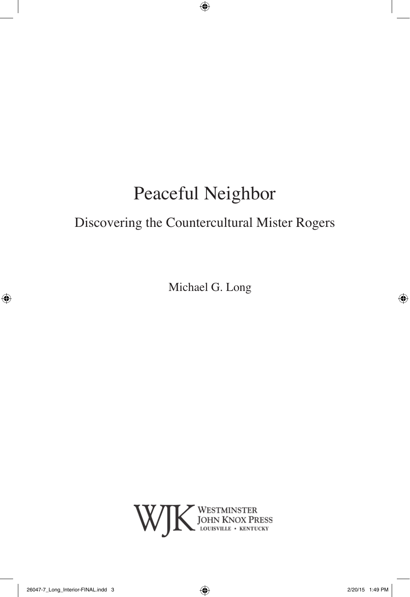# Peaceful Neighbor

### Discovering the Countercultural Mister Rogers

Michael G. Long

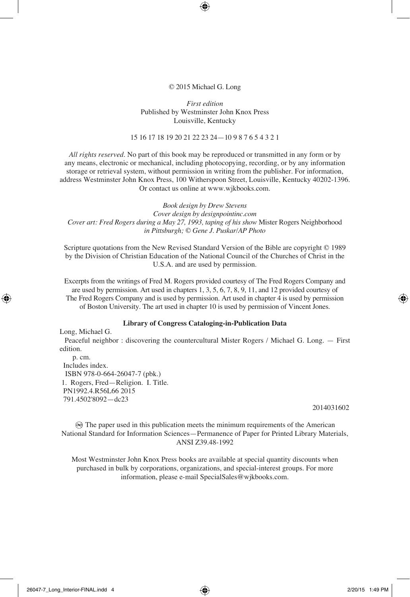#### © 2015 Michael G. Long

#### *First edition* Published by Westminster John Knox Press Louisville, Kentucky

#### 15 16 17 18 19 20 21 22 23 24—10 9 8 7 6 5 4 3 2 1

*All rights reserved*. No part of this book may be reproduced or transmitted in any form or by any means, electronic or mechanical, including photocopying, recording, or by any information storage or retrieval system, without permission in writing from the publisher. For information, address Westminster John Knox Press, 100 Witherspoon Street, Louisville, Kentucky 40202-1396. Or contact us online at www.wjkbooks.com.

*Book design by Drew Stevens Cover design by designpointinc.com Cover art: Fred Rogers during a May 27, 1993, taping of his show* Mister Rogers Neighborhood *in Pittsburgh; © Gene J. Puskar/AP Photo*

Scripture quotations from the New Revised Standard Version of the Bible are copyright © 1989 by the Division of Christian Education of the National Council of the Churches of Christ in the U.S.A. and are used by permission.

Excerpts from the writings of Fred M. Rogers provided courtesy of The Fred Rogers Company and are used by permission. Art used in chapters 1, 3, 5, 6, 7, 8, 9, 11, and 12 provided courtesy of The Fred Rogers Company and is used by permission. Art used in chapter 4 is used by permission of Boston University. The art used in chapter 10 is used by permission of Vincent Jones.

#### **Library of Congress Cataloging-in-Publication Data**

Long, Michael G.

 Peaceful neighbor : discovering the countercultural Mister Rogers / Michael G. Long. — First edition.

 p. cm. Includes index. ISBN 978-0-664-26047-7 (pbk.) 1. Rogers, Fred—Religion. I. Title. PN1992.4.R56L66 2015 791.4502'8092—dc23

#### 2014031602

 $\otimes$  The paper used in this publication meets the minimum requirements of the American National Standard for Information Sciences—Permanence of Paper for Printed Library Materials, ANSI Z39.48-1992

Most Westminster John Knox Press books are available at special quantity discounts when purchased in bulk by corporations, organizations, and special-interest groups. For more information, please e-mail SpecialSales@wjkbooks.com.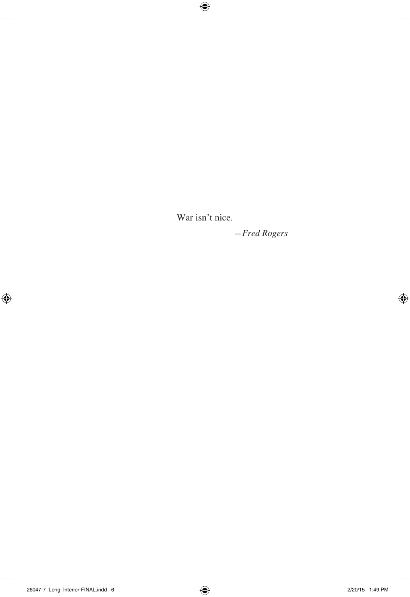War isn't nice.

*—Fred Rogers*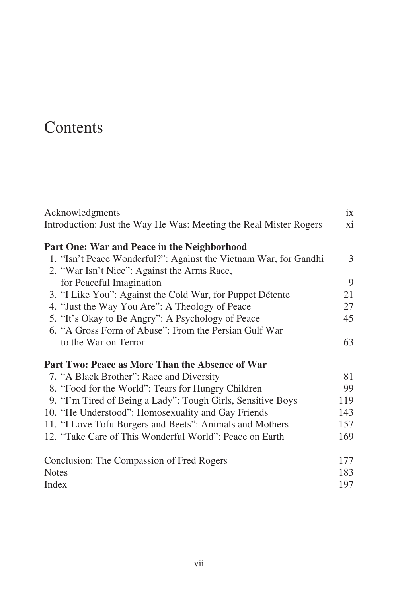## **Contents**

| Acknowledgments                                                   | ix  |
|-------------------------------------------------------------------|-----|
| Introduction: Just the Way He Was: Meeting the Real Mister Rogers | xi  |
| Part One: War and Peace in the Neighborhood                       |     |
| 1. "Isn't Peace Wonderful?": Against the Vietnam War, for Gandhi  | 3   |
| 2. "War Isn't Nice": Against the Arms Race,                       |     |
| for Peaceful Imagination                                          | 9   |
| 3. "I Like You": Against the Cold War, for Puppet Détente         | 21  |
| 4. "Just the Way You Are": A Theology of Peace                    | 27  |
| 5. "It's Okay to Be Angry": A Psychology of Peace                 | 45  |
| 6. "A Gross Form of Abuse": From the Persian Gulf War             |     |
| to the War on Terror                                              | 63  |
| Part Two: Peace as More Than the Absence of War                   |     |
| 7. "A Black Brother": Race and Diversity                          | 81  |
| 8. "Food for the World": Tears for Hungry Children                | 99  |
| 9. "I'm Tired of Being a Lady": Tough Girls, Sensitive Boys       | 119 |
| 10. "He Understood": Homosexuality and Gay Friends                | 143 |
| 11. "I Love Tofu Burgers and Beets": Animals and Mothers          | 157 |
| 12. "Take Care of This Wonderful World": Peace on Earth           | 169 |
| Conclusion: The Compassion of Fred Rogers                         | 177 |
| <b>Notes</b>                                                      | 183 |
| Index                                                             | 197 |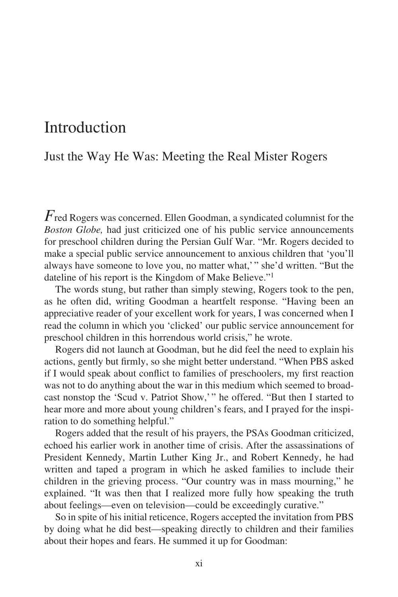### Introduction

### Just the Way He Was: Meeting the Real Mister Rogers

*F*red Rogers was concerned. Ellen Goodman, a syndicated columnist for the *Boston Globe,* had just criticized one of his public service announcements for preschool children during the Persian Gulf War. "Mr. Rogers decided to make a special public service announcement to anxious children that 'you'll always have someone to love you, no matter what,' " she'd written. "But the dateline of his report is the Kingdom of Make Believe."1

The words stung, but rather than simply stewing, Rogers took to the pen, as he often did, writing Goodman a heartfelt response. "Having been an appreciative reader of your excellent work for years, I was concerned when I read the column in which you 'clicked' our public service announcement for preschool children in this horrendous world crisis," he wrote.

Rogers did not launch at Goodman, but he did feel the need to explain his actions, gently but firmly, so she might better understand. "When PBS asked if I would speak about conflict to families of preschoolers, my first reaction was not to do anything about the war in this medium which seemed to broadcast nonstop the 'Scud v. Patriot Show,' " he offered. "But then I started to hear more and more about young children's fears, and I prayed for the inspiration to do something helpful."

Rogers added that the result of his prayers, the PSAs Goodman criticized, echoed his earlier work in another time of crisis. After the assassinations of President Kennedy, Martin Luther King Jr., and Robert Kennedy, he had written and taped a program in which he asked families to include their children in the grieving process. "Our country was in mass mourning," he explained. "It was then that I realized more fully how speaking the truth about feelings—even on television—could be exceedingly curative."

So in spite of his initial reticence, Rogers accepted the invitation from PBS by doing what he did best—speaking directly to children and their families about their hopes and fears. He summed it up for Goodman: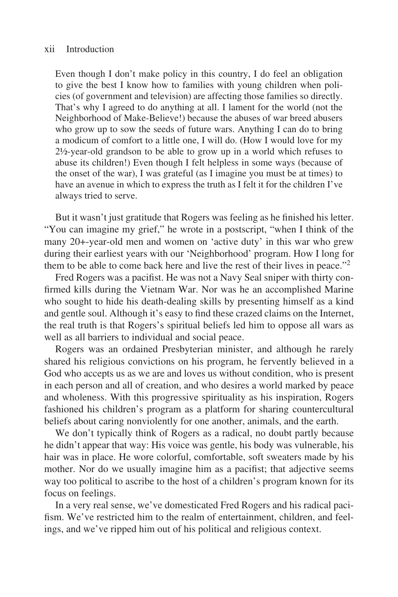Even though I don't make policy in this country, I do feel an obligation to give the best I know how to families with young children when policies (of government and television) are affecting those families so directly. That's why I agreed to do anything at all. I lament for the world (not the Neighborhood of Make-Believe!) because the abuses of war breed abusers who grow up to sow the seeds of future wars. Anything I can do to bring a modicum of comfort to a little one, I will do. (How I would love for my 2½-year-old grandson to be able to grow up in a world which refuses to abuse its children!) Even though I felt helpless in some ways (because of the onset of the war), I was grateful (as I imagine you must be at times) to have an avenue in which to express the truth as I felt it for the children I've always tried to serve.

But it wasn't just gratitude that Rogers was feeling as he finished his letter. "You can imagine my grief," he wrote in a postscript, "when I think of the many 20+-year-old men and women on 'active duty' in this war who grew during their earliest years with our 'Neighborhood' program. How I long for them to be able to come back here and live the rest of their lives in peace."2

Fred Rogers was a pacifist. He was not a Navy Seal sniper with thirty confirmed kills during the Vietnam War. Nor was he an accomplished Marine who sought to hide his death-dealing skills by presenting himself as a kind and gentle soul. Although it's easy to find these crazed claims on the Internet, the real truth is that Rogers's spiritual beliefs led him to oppose all wars as well as all barriers to individual and social peace.

Rogers was an ordained Presbyterian minister, and although he rarely shared his religious convictions on his program, he fervently believed in a God who accepts us as we are and loves us without condition, who is present in each person and all of creation, and who desires a world marked by peace and wholeness. With this progressive spirituality as his inspiration, Rogers fashioned his children's program as a platform for sharing countercultural beliefs about caring nonviolently for one another, animals, and the earth.

We don't typically think of Rogers as a radical, no doubt partly because he didn't appear that way: His voice was gentle, his body was vulnerable, his hair was in place. He wore colorful, comfortable, soft sweaters made by his mother. Nor do we usually imagine him as a pacifist; that adjective seems way too political to ascribe to the host of a children's program known for its focus on feelings.

In a very real sense, we've domesticated Fred Rogers and his radical pacifism. We've restricted him to the realm of entertainment, children, and feelings, and we've ripped him out of his political and religious context.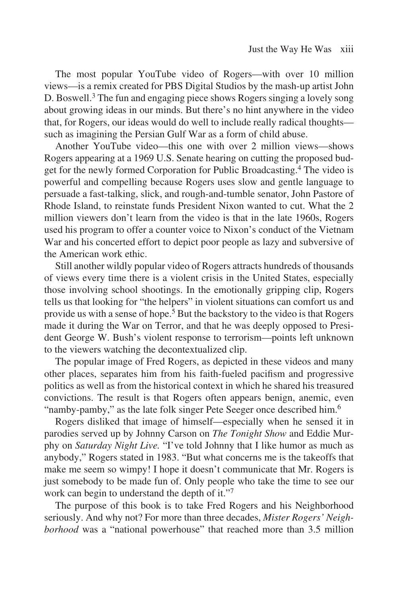The most popular YouTube video of Rogers—with over 10 million views—is a remix created for PBS Digital Studios by the mash-up artist John D. Boswell.<sup>3</sup> The fun and engaging piece shows Rogers singing a lovely song about growing ideas in our minds. But there's no hint anywhere in the video that, for Rogers, our ideas would do well to include really radical thoughts such as imagining the Persian Gulf War as a form of child abuse.

Another YouTube video—this one with over 2 million views—shows Rogers appearing at a 1969 U.S. Senate hearing on cutting the proposed budget for the newly formed Corporation for Public Broadcasting.4 The video is powerful and compelling because Rogers uses slow and gentle language to persuade a fast-talking, slick, and rough-and-tumble senator, John Pastore of Rhode Island, to reinstate funds President Nixon wanted to cut. What the 2 million viewers don't learn from the video is that in the late 1960s, Rogers used his program to offer a counter voice to Nixon's conduct of the Vietnam War and his concerted effort to depict poor people as lazy and subversive of the American work ethic.

Still another wildly popular video of Rogers attracts hundreds of thousands of views every time there is a violent crisis in the United States, especially those involving school shootings. In the emotionally gripping clip, Rogers tells us that looking for "the helpers" in violent situations can comfort us and provide us with a sense of hope.5 But the backstory to the video is that Rogers made it during the War on Terror, and that he was deeply opposed to President George W. Bush's violent response to terrorism—points left unknown to the viewers watching the decontextualized clip.

The popular image of Fred Rogers, as depicted in these videos and many other places, separates him from his faith-fueled pacifism and progressive politics as well as from the historical context in which he shared his treasured convictions. The result is that Rogers often appears benign, anemic, even "namby-pamby," as the late folk singer Pete Seeger once described him.<sup>6</sup>

Rogers disliked that image of himself—especially when he sensed it in parodies served up by Johnny Carson on *The Tonight Show* and Eddie Murphy on *Saturday Night Live.* "I've told Johnny that I like humor as much as anybody," Rogers stated in 1983. "But what concerns me is the takeoffs that make me seem so wimpy! I hope it doesn't communicate that Mr. Rogers is just somebody to be made fun of. Only people who take the time to see our work can begin to understand the depth of it."<sup>7</sup>

The purpose of this book is to take Fred Rogers and his Neighborhood seriously. And why not? For more than three decades, *Mister Rogers' Neighborhood* was a "national powerhouse" that reached more than 3.5 million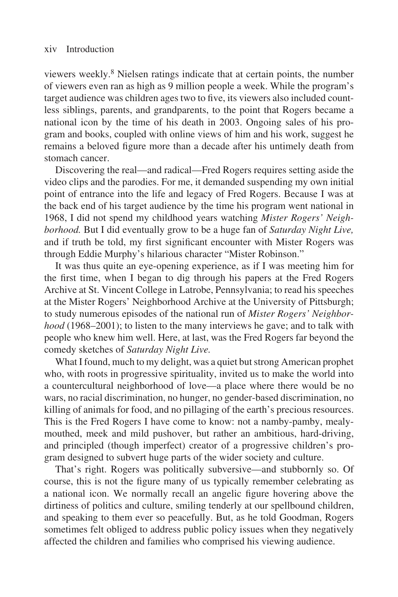viewers weekly.8 Nielsen ratings indicate that at certain points, the number of viewers even ran as high as 9 million people a week. While the program's target audience was children ages two to five, its viewers also included countless siblings, parents, and grandparents, to the point that Rogers became a national icon by the time of his death in 2003. Ongoing sales of his program and books, coupled with online views of him and his work, suggest he remains a beloved figure more than a decade after his untimely death from stomach cancer.

Discovering the real—and radical—Fred Rogers requires setting aside the video clips and the parodies. For me, it demanded suspending my own initial point of entrance into the life and legacy of Fred Rogers. Because I was at the back end of his target audience by the time his program went national in 1968, I did not spend my childhood years watching *Mister Rogers' Neighborhood.* But I did eventually grow to be a huge fan of *Saturday Night Live,*  and if truth be told, my first significant encounter with Mister Rogers was through Eddie Murphy's hilarious character "Mister Robinson."

It was thus quite an eye-opening experience, as if I was meeting him for the first time, when I began to dig through his papers at the Fred Rogers Archive at St. Vincent College in Latrobe, Pennsylvania; to read his speeches at the Mister Rogers' Neighborhood Archive at the University of Pittsburgh; to study numerous episodes of the national run of *Mister Rogers' Neighborhood* (1968–2001); to listen to the many interviews he gave; and to talk with people who knew him well. Here, at last, was the Fred Rogers far beyond the comedy sketches of *Saturday Night Live.* 

What I found, much to my delight, was a quiet but strong American prophet who, with roots in progressive spirituality, invited us to make the world into a countercultural neighborhood of love—a place where there would be no wars, no racial discrimination, no hunger, no gender-based discrimination, no killing of animals for food, and no pillaging of the earth's precious resources. This is the Fred Rogers I have come to know: not a namby-pamby, mealymouthed, meek and mild pushover, but rather an ambitious, hard-driving, and principled (though imperfect) creator of a progressive children's program designed to subvert huge parts of the wider society and culture.

That's right. Rogers was politically subversive—and stubbornly so. Of course, this is not the figure many of us typically remember celebrating as a national icon. We normally recall an angelic figure hovering above the dirtiness of politics and culture, smiling tenderly at our spellbound children, and speaking to them ever so peacefully. But, as he told Goodman, Rogers sometimes felt obliged to address public policy issues when they negatively affected the children and families who comprised his viewing audience.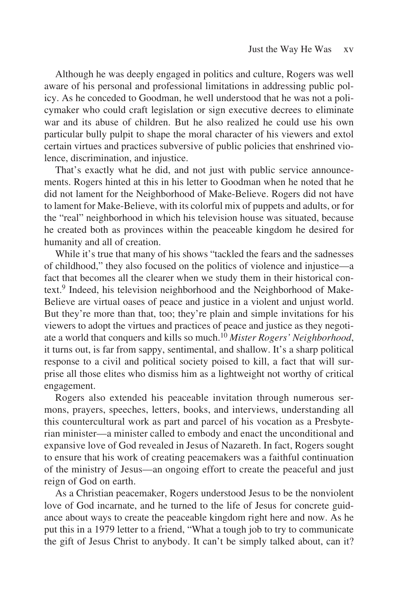Although he was deeply engaged in politics and culture, Rogers was well aware of his personal and professional limitations in addressing public policy. As he conceded to Goodman, he well understood that he was not a policymaker who could craft legislation or sign executive decrees to eliminate war and its abuse of children. But he also realized he could use his own particular bully pulpit to shape the moral character of his viewers and extol certain virtues and practices subversive of public policies that enshrined violence, discrimination, and injustice.

That's exactly what he did, and not just with public service announcements. Rogers hinted at this in his letter to Goodman when he noted that he did not lament for the Neighborhood of Make-Believe. Rogers did not have to lament for Make-Believe, with its colorful mix of puppets and adults, or for the "real" neighborhood in which his television house was situated, because he created both as provinces within the peaceable kingdom he desired for humanity and all of creation.

While it's true that many of his shows "tackled the fears and the sadnesses of childhood," they also focused on the politics of violence and injustice—a fact that becomes all the clearer when we study them in their historical context.9 Indeed, his television neighborhood and the Neighborhood of Make-Believe are virtual oases of peace and justice in a violent and unjust world. But they're more than that, too; they're plain and simple invitations for his viewers to adopt the virtues and practices of peace and justice as they negotiate a world that conquers and kills so much.10 *Mister Rogers' Neighborhood*, it turns out, is far from sappy, sentimental, and shallow. It's a sharp political response to a civil and political society poised to kill, a fact that will surprise all those elites who dismiss him as a lightweight not worthy of critical engagement.

Rogers also extended his peaceable invitation through numerous sermons, prayers, speeches, letters, books, and interviews, understanding all this countercultural work as part and parcel of his vocation as a Presbyterian minister—a minister called to embody and enact the unconditional and expansive love of God revealed in Jesus of Nazareth. In fact, Rogers sought to ensure that his work of creating peacemakers was a faithful continuation of the ministry of Jesus—an ongoing effort to create the peaceful and just reign of God on earth.

As a Christian peacemaker, Rogers understood Jesus to be the nonviolent love of God incarnate, and he turned to the life of Jesus for concrete guidance about ways to create the peaceable kingdom right here and now. As he put this in a 1979 letter to a friend, "What a tough job to try to communicate the gift of Jesus Christ to anybody. It can't be simply talked about, can it?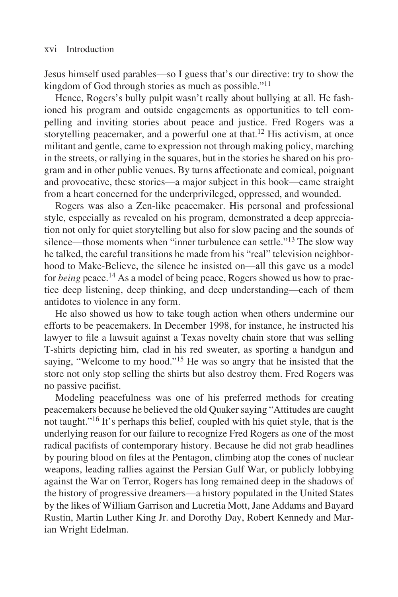Jesus himself used parables—so I guess that's our directive: try to show the kingdom of God through stories as much as possible."11

Hence, Rogers's bully pulpit wasn't really about bullying at all. He fashioned his program and outside engagements as opportunities to tell compelling and inviting stories about peace and justice. Fred Rogers was a storytelling peacemaker, and a powerful one at that.<sup>12</sup> His activism, at once militant and gentle, came to expression not through making policy, marching in the streets, or rallying in the squares, but in the stories he shared on his program and in other public venues. By turns affectionate and comical, poignant and provocative, these stories—a major subject in this book—came straight from a heart concerned for the underprivileged, oppressed, and wounded.

Rogers was also a Zen-like peacemaker. His personal and professional style, especially as revealed on his program, demonstrated a deep appreciation not only for quiet storytelling but also for slow pacing and the sounds of silence—those moments when "inner turbulence can settle."13 The slow way he talked, the careful transitions he made from his "real" television neighborhood to Make-Believe, the silence he insisted on—all this gave us a model for *being* peace.14 As a model of being peace, Rogers showed us how to practice deep listening, deep thinking, and deep understanding—each of them antidotes to violence in any form.

He also showed us how to take tough action when others undermine our efforts to be peacemakers. In December 1998, for instance, he instructed his lawyer to file a lawsuit against a Texas novelty chain store that was selling T-shirts depicting him, clad in his red sweater, as sporting a handgun and saying, "Welcome to my hood."15 He was so angry that he insisted that the store not only stop selling the shirts but also destroy them. Fred Rogers was no passive pacifist.

Modeling peacefulness was one of his preferred methods for creating peacemakers because he believed the old Quaker saying "Attitudes are caught not taught."16 It's perhaps this belief, coupled with his quiet style, that is the underlying reason for our failure to recognize Fred Rogers as one of the most radical pacifists of contemporary history. Because he did not grab headlines by pouring blood on files at the Pentagon, climbing atop the cones of nuclear weapons, leading rallies against the Persian Gulf War, or publicly lobbying against the War on Terror, Rogers has long remained deep in the shadows of the history of progressive dreamers—a history populated in the United States by the likes of William Garrison and Lucretia Mott, Jane Addams and Bayard Rustin, Martin Luther King Jr. and Dorothy Day, Robert Kennedy and Marian Wright Edelman.